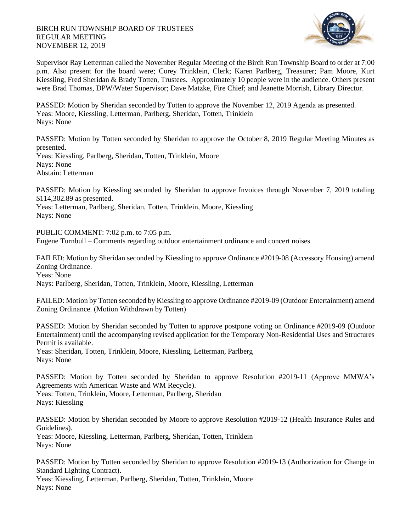## BIRCH RUN TOWNSHIP BOARD OF TRUSTEES REGULAR MEETING NOVEMBER 12, 2019



Supervisor Ray Letterman called the November Regular Meeting of the Birch Run Township Board to order at 7:00 p.m. Also present for the board were; Corey Trinklein, Clerk; Karen Parlberg, Treasurer; Pam Moore, Kurt Kiessling, Fred Sheridan & Brady Totten, Trustees. Approximately 10 people were in the audience. Others present were Brad Thomas, DPW/Water Supervisor; Dave Matzke, Fire Chief; and Jeanette Morrish, Library Director.

PASSED: Motion by Sheridan seconded by Totten to approve the November 12, 2019 Agenda as presented. Yeas: Moore, Kiessling, Letterman, Parlberg, Sheridan, Totten, Trinklein Nays: None

PASSED: Motion by Totten seconded by Sheridan to approve the October 8, 2019 Regular Meeting Minutes as presented.

Yeas: Kiessling, Parlberg, Sheridan, Totten, Trinklein, Moore Nays: None Abstain: Letterman

PASSED: Motion by Kiessling seconded by Sheridan to approve Invoices through November 7, 2019 totaling \$114,302.89 as presented.

Yeas: Letterman, Parlberg, Sheridan, Totten, Trinklein, Moore, Kiessling Nays: None

PUBLIC COMMENT: 7:02 p.m. to 7:05 p.m. Eugene Turnbull – Comments regarding outdoor entertainment ordinance and concert noises

FAILED: Motion by Sheridan seconded by Kiessling to approve Ordinance #2019-08 (Accessory Housing) amend Zoning Ordinance. Yeas: None

Nays: Parlberg, Sheridan, Totten, Trinklein, Moore, Kiessling, Letterman

FAILED: Motion by Totten seconded by Kiessling to approve Ordinance #2019-09 (Outdoor Entertainment) amend Zoning Ordinance. (Motion Withdrawn by Totten)

PASSED: Motion by Sheridan seconded by Totten to approve postpone voting on Ordinance #2019-09 (Outdoor Entertainment) until the accompanying revised application for the Temporary Non-Residential Uses and Structures Permit is available.

Yeas: Sheridan, Totten, Trinklein, Moore, Kiessling, Letterman, Parlberg Nays: None

PASSED: Motion by Totten seconded by Sheridan to approve Resolution #2019-11 (Approve MMWA's Agreements with American Waste and WM Recycle). Yeas: Totten, Trinklein, Moore, Letterman, Parlberg, Sheridan Nays: Kiessling

PASSED: Motion by Sheridan seconded by Moore to approve Resolution #2019-12 (Health Insurance Rules and Guidelines).

Yeas: Moore, Kiessling, Letterman, Parlberg, Sheridan, Totten, Trinklein Nays: None

PASSED: Motion by Totten seconded by Sheridan to approve Resolution #2019-13 (Authorization for Change in Standard Lighting Contract).

Yeas: Kiessling, Letterman, Parlberg, Sheridan, Totten, Trinklein, Moore Nays: None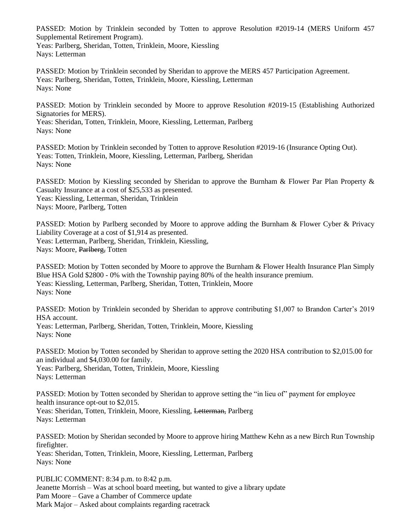PASSED: Motion by Trinklein seconded by Totten to approve Resolution #2019-14 (MERS Uniform 457 Supplemental Retirement Program).

Yeas: Parlberg, Sheridan, Totten, Trinklein, Moore, Kiessling Nays: Letterman

PASSED: Motion by Trinklein seconded by Sheridan to approve the MERS 457 Participation Agreement. Yeas: Parlberg, Sheridan, Totten, Trinklein, Moore, Kiessling, Letterman Nays: None

PASSED: Motion by Trinklein seconded by Moore to approve Resolution #2019-15 (Establishing Authorized Signatories for MERS).

Yeas: Sheridan, Totten, Trinklein, Moore, Kiessling, Letterman, Parlberg Nays: None

PASSED: Motion by Trinklein seconded by Totten to approve Resolution #2019-16 (Insurance Opting Out). Yeas: Totten, Trinklein, Moore, Kiessling, Letterman, Parlberg, Sheridan Nays: None

PASSED: Motion by Kiessling seconded by Sheridan to approve the Burnham & Flower Par Plan Property & Casualty Insurance at a cost of \$25,533 as presented. Yeas: Kiessling, Letterman, Sheridan, Trinklein Nays: Moore, Parlberg, Totten

PASSED: Motion by Parlberg seconded by Moore to approve adding the Burnham & Flower Cyber & Privacy Liability Coverage at a cost of \$1,914 as presented. Yeas: Letterman, Parlberg, Sheridan, Trinklein, Kiessling, Nays: Moore, Parlberg, Totten

PASSED: Motion by Totten seconded by Moore to approve the Burnham & Flower Health Insurance Plan Simply Blue HSA Gold \$2800 - 0% with the Township paying 80% of the health insurance premium. Yeas: Kiessling, Letterman, Parlberg, Sheridan, Totten, Trinklein, Moore Nays: None

PASSED: Motion by Trinklein seconded by Sheridan to approve contributing \$1,007 to Brandon Carter's 2019 HSA account. Yeas: Letterman, Parlberg, Sheridan, Totten, Trinklein, Moore, Kiessling

Nays: None

PASSED: Motion by Totten seconded by Sheridan to approve setting the 2020 HSA contribution to \$2,015.00 for an individual and \$4,030.00 for family.

Yeas: Parlberg, Sheridan, Totten, Trinklein, Moore, Kiessling Nays: Letterman

PASSED: Motion by Totten seconded by Sheridan to approve setting the "in lieu of" payment for employee health insurance opt-out to \$2,015.

Yeas: Sheridan, Totten, Trinklein, Moore, Kiessling, Letterman, Parlberg Nays: Letterman

PASSED: Motion by Sheridan seconded by Moore to approve hiring Matthew Kehn as a new Birch Run Township firefighter.

Yeas: Sheridan, Totten, Trinklein, Moore, Kiessling, Letterman, Parlberg Nays: None

PUBLIC COMMENT: 8:34 p.m. to 8:42 p.m. Jeanette Morrish – Was at school board meeting, but wanted to give a library update Pam Moore – Gave a Chamber of Commerce update Mark Major – Asked about complaints regarding racetrack